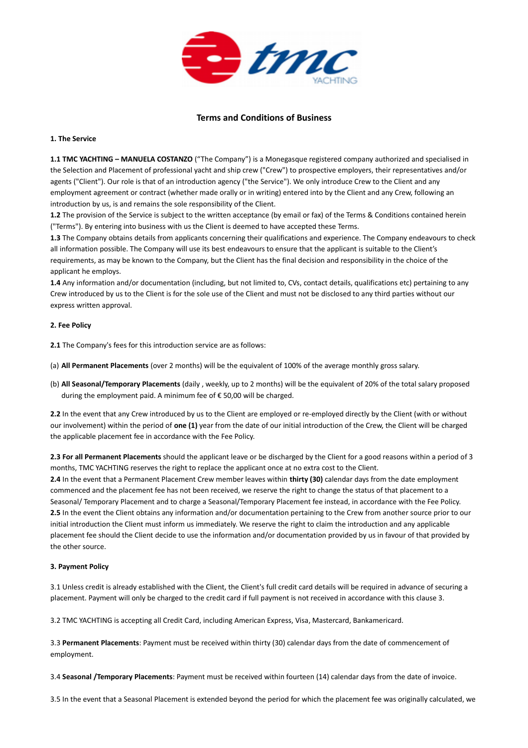

# **Terms and Conditions of Business**

### **1. The Service**

**1.1 TMC YACHTING – MANUELA COSTANZO** ("The Company") is a Monegasque registered company authorized and specialised in the Selection and Placement of professional yacht and ship crew ("Crew") to prospective employers, their representatives and/or agents ("Client"). Our role is that of an introduction agency ("the Service"). We only introduce Crew to the Client and any employment agreement or contract (whether made orally or in writing) entered into by the Client and any Crew, following an introduction by us, is and remains the sole responsibility of the Client.

**1.2** The provision of the Service is subject to the written acceptance (by email or fax) of the Terms & Conditions contained herein ("Terms"). By entering into business with us the Client is deemed to have accepted these Terms.

**1.3** The Company obtains details from applicants concerning their qualifications and experience. The Company endeavours to check all information possible. The Company will use its best endeavours to ensure that the applicant is suitable to the Client's requirements, as may be known to the Company, but the Client has the final decision and responsibility in the choice of the applicant he employs.

**1.4** Any information and/or documentation (including, but not limited to, CVs, contact details, qualifications etc) pertaining to any Crew introduced by us to the Client is for the sole use of the Client and must not be disclosed to any third parties without our express written approval.

## **2. Fee Policy**

**2.1** The Company's fees for this introduction service are as follows:

(a) **All Permanent Placements** (over 2 months) will be the equivalent of 100% of the average monthly gross salary.

(b) **All Seasonal/Temporary Placements** (daily , weekly, up to 2 months) will be the equivalent of 20% of the total salary proposed during the employment paid. A minimum fee of € 50,00 will be charged.

**2.2** In the event that any Crew introduced by us to the Client are employed or re-employed directly by the Client (with or without our involvement) within the period of **one (1)** year from the date of our initial introduction of the Crew, the Client will be charged the applicable placement fee in accordance with the Fee Policy.

**2.3 For all Permanent Placements** shouId the applicant leave or be discharged by the Client for a good reasons within a period of 3 months, TMC YACHTING reserves the right to replace the applicant once at no extra cost to the Client. **2.4** In the event that a Permanent Placement Crew member leaves within **thirty (30)** calendar days from the date employment commenced and the placement fee has not been received, we reserve the right to change the status of that placement to a Seasonal/ Temporary Placement and to charge a Seasonal/Temporary Placement fee instead, in accordance with the Fee Policy. **2.5** In the event the Client obtains any information and/or documentation pertaining to the Crew from another source prior to our

initial introduction the Client must inform us immediately. We reserve the right to claim the introduction and any applicable placement fee should the Client decide to use the information and/or documentation provided by us in favour of that provided by the other source.

## **3. Payment Policy**

3.1 Unless credit is already established with the Client, the Client's full credit card details will be required in advance of securing a placement. Payment will only be charged to the credit card if full payment is not received in accordance with this clause 3.

3.2 TMC YACHTING is accepting all Credit Card, including American Express, Visa, Mastercard, Bankamericard.

3.3 **Permanent Placements**: Payment must be received within thirty (30) calendar days from the date of commencement of employment.

3.4 **Seasonal /Temporary Placements**: Payment must be received within fourteen (14) calendar days from the date of invoice.

3.5 In the event that a Seasonal Placement is extended beyond the period for which the placement fee was originally calculated, we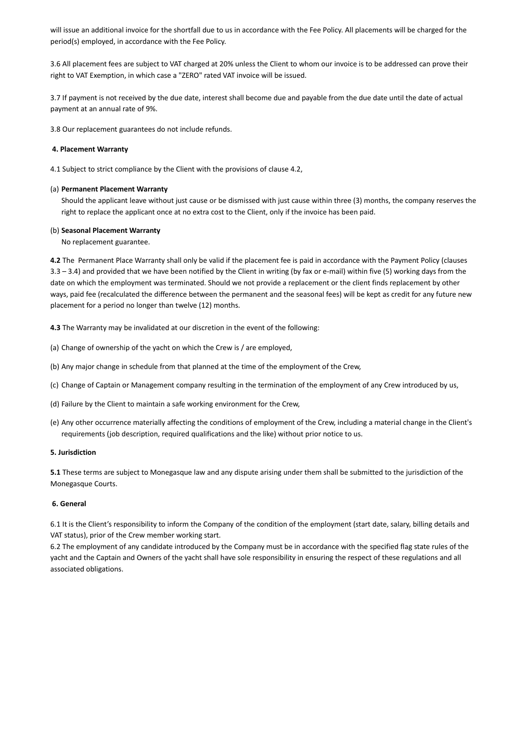will issue an additional invoice for the shortfall due to us in accordance with the Fee Policy. All placements will be charged for the period(s) employed, in accordance with the Fee Policy.

3.6 All placement fees are subject to VAT charged at 20% unless the Client to whom our invoice is to be addressed can prove their right to VAT Exemption, in which case a "ZERO" rated VAT invoice will be issued.

3.7 If payment is not received by the due date, interest shall become due and payable from the due date until the date of actual payment at an annual rate of 9%.

3.8 Our replacement guarantees do not include refunds.

### **4. Placement Warranty**

4.1 Subject to strict compliance by the Client with the provisions of clause 4.2,

### (a) **Permanent Placement Warranty**

Should the applicant leave without just cause or be dismissed with just cause within three (3) months, the company reserves the right to replace the applicant once at no extra cost to the Client, only if the invoice has been paid.

#### (b) **Seasonal Placement Warranty**

No replacement guarantee.

**4.2** The Permanent Place Warranty shall only be valid if the placement fee is paid in accordance with the Payment Policy (clauses 3.3 – 3.4) and provided that we have been notified by the Client in writing (by fax or e-mail) within five (5) working days from the date on which the employment was terminated. Should we not provide a replacement or the client finds replacement by other ways, paid fee (recalculated the difference between the permanent and the seasonal fees) will be kept as credit for any future new placement for a period no longer than twelve (12) months.

**4.3** The Warranty may be invalidated at our discretion in the event of the following:

- (a) Change of ownership of the yacht on which the Crew is / are employed,
- (b) Any major change in schedule from that planned at the time of the employment of the Crew,
- (c) Change of Captain or Management company resulting in the termination of the employment of any Crew introduced by us,
- (d) Failure by the Client to maintain a safe working environment for the Crew,
- (e) Any other occurrence materially affecting the conditions of employment of the Crew, including a material change in the Client's requirements (job description, required qualifications and the like) without prior notice to us.

#### **5. Jurisdiction**

**5.1** These terms are subject to Monegasque law and any dispute arising under them shall be submitted to the jurisdiction of the Monegasque Courts.

## **6. General**

6.1 It is the Client's responsibility to inform the Company of the condition of the employment (start date, salary, billing details and VAT status), prior of the Crew member working start.

6.2 The employment of any candidate introduced by the Company must be in accordance with the specified flag state rules of the yacht and the Captain and Owners of the yacht shall have sole responsibility in ensuring the respect of these regulations and all associated obligations.